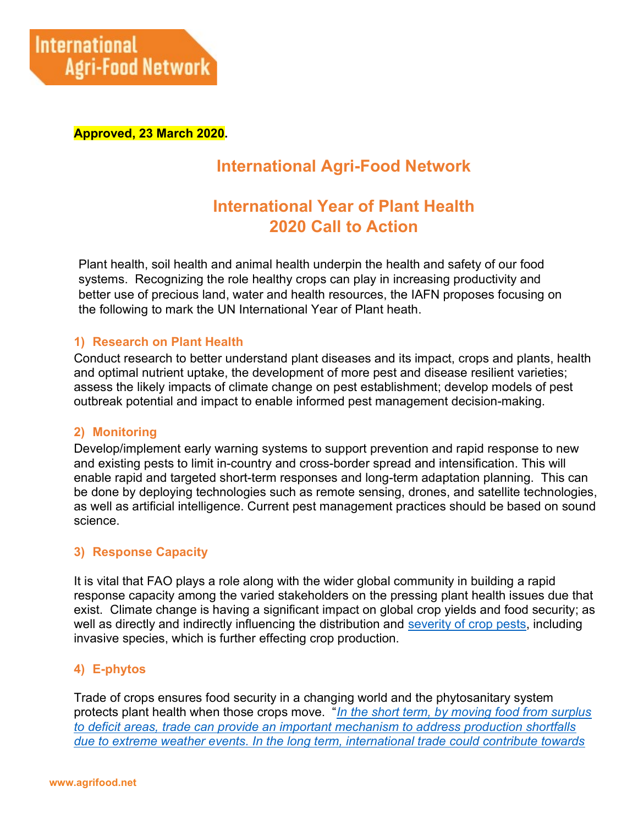

Approved, 23 March 2020.

# International Agri-Food Network

# International Year of Plant Health 2020 Call to Action

Plant health, soil health and animal health underpin the health and safety of our food systems. Recognizing the role healthy crops can play in increasing productivity and better use of precious land, water and health resources, the IAFN proposes focusing on the following to mark the UN International Year of Plant heath.

#### 1) Research on Plant Health

Conduct research to better understand plant diseases and its impact, crops and plants, health and optimal nutrient uptake, the development of more pest and disease resilient varieties; assess the likely impacts of climate change on pest establishment; develop models of pest outbreak potential and impact to enable informed pest management decision-making.

#### 2) Monitoring

Develop/implement early warning systems to support prevention and rapid response to new and existing pests to limit in-country and cross-border spread and intensification. This will enable rapid and targeted short-term responses and long-term adaptation planning. This can be done by deploying technologies such as remote sensing, drones, and satellite technologies, as well as artificial intelligence. Current pest management practices should be based on sound science.

#### 3) Response Capacity

It is vital that FAO plays a role along with the wider global community in building a rapid response capacity among the varied stakeholders on the pressing plant health issues due that exist. Climate change is having a significant impact on global crop yields and food security; as well as directly and indirectly influencing the distribution and severity of crop pests, including invasive species, which is further effecting crop production.

## 4) E-phytos

Trade of crops ensures food security in a changing world and the phytosanitary system protects plant health when those crops move. "In the short term, by moving food from surplus to deficit areas, trade can provide an important mechanism to address production shortfalls due to extreme weather events. In the long term, international trade could contribute towards